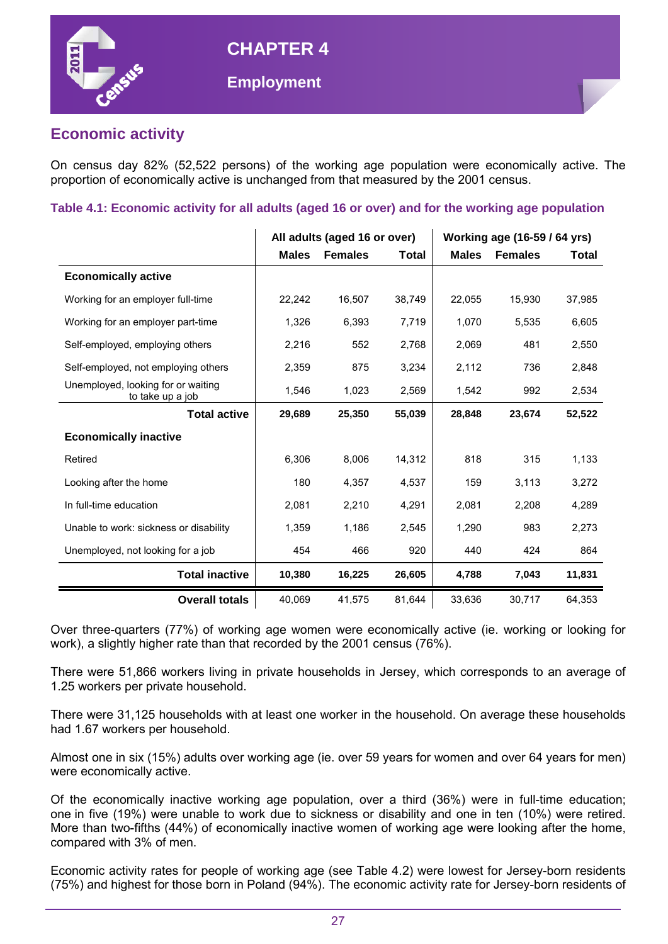

**CHAPTER 4**

# **Economic activity**

On census day 82% (52,522 persons) of the working age population were economically active. The proportion of economically active is unchanged from that measured by the 2001 census.

### **Table 4.1: Economic activity for all adults (aged 16 or over) and for the working age population**

|                                                        |              | All adults (aged 16 or over) |        | Working age (16-59 / 64 yrs) |                |        |  |
|--------------------------------------------------------|--------------|------------------------------|--------|------------------------------|----------------|--------|--|
|                                                        | <b>Males</b> | <b>Females</b>               | Total  | <b>Males</b>                 | <b>Females</b> | Total  |  |
| <b>Economically active</b>                             |              |                              |        |                              |                |        |  |
| Working for an employer full-time                      | 22,242       | 16,507                       | 38,749 | 22.055                       | 15.930         | 37,985 |  |
| Working for an employer part-time                      | 1,326        | 6,393                        | 7,719  | 1,070                        | 5,535          | 6,605  |  |
| Self-employed, employing others                        | 2,216        | 552                          | 2,768  | 2,069                        | 481            | 2,550  |  |
| Self-employed, not employing others                    | 2,359        | 875                          | 3,234  | 2,112                        | 736            | 2,848  |  |
| Unemployed, looking for or waiting<br>to take up a job | 1,546        | 1,023                        | 2,569  | 1,542                        | 992            | 2,534  |  |
| <b>Total active</b>                                    | 29,689       | 25,350                       | 55,039 | 28,848                       | 23,674         | 52,522 |  |
| <b>Economically inactive</b>                           |              |                              |        |                              |                |        |  |
| Retired                                                | 6,306        | 8,006                        | 14,312 | 818                          | 315            | 1,133  |  |
| Looking after the home                                 | 180          | 4,357                        | 4,537  | 159                          | 3,113          | 3,272  |  |
| In full-time education                                 | 2,081        | 2,210                        | 4,291  | 2,081                        | 2,208          | 4,289  |  |
| Unable to work: sickness or disability                 | 1,359        | 1,186                        | 2,545  | 1,290                        | 983            | 2,273  |  |
| Unemployed, not looking for a job                      | 454          | 466                          | 920    | 440                          | 424            | 864    |  |
| <b>Total inactive</b>                                  | 10,380       | 16,225                       | 26,605 | 4,788                        | 7,043          | 11,831 |  |
| <b>Overall totals</b>                                  | 40,069       | 41,575                       | 81,644 | 33,636                       | 30,717         | 64,353 |  |

Over three-quarters (77%) of working age women were economically active (ie. working or looking for work), a slightly higher rate than that recorded by the 2001 census (76%).

There were 51,866 workers living in private households in Jersey, which corresponds to an average of 1.25 workers per private household.

There were 31,125 households with at least one worker in the household. On average these households had 1.67 workers per household.

Almost one in six (15%) adults over working age (ie. over 59 years for women and over 64 years for men) were economically active.

Of the economically inactive working age population, over a third (36%) were in full-time education; one in five (19%) were unable to work due to sickness or disability and one in ten (10%) were retired. More than two-fifths (44%) of economically inactive women of working age were looking after the home, compared with 3% of men.

Economic activity rates for people of working age (see Table 4.2) were lowest for Jersey-born residents (75%) and highest for those born in Poland (94%). The economic activity rate for Jersey-born residents of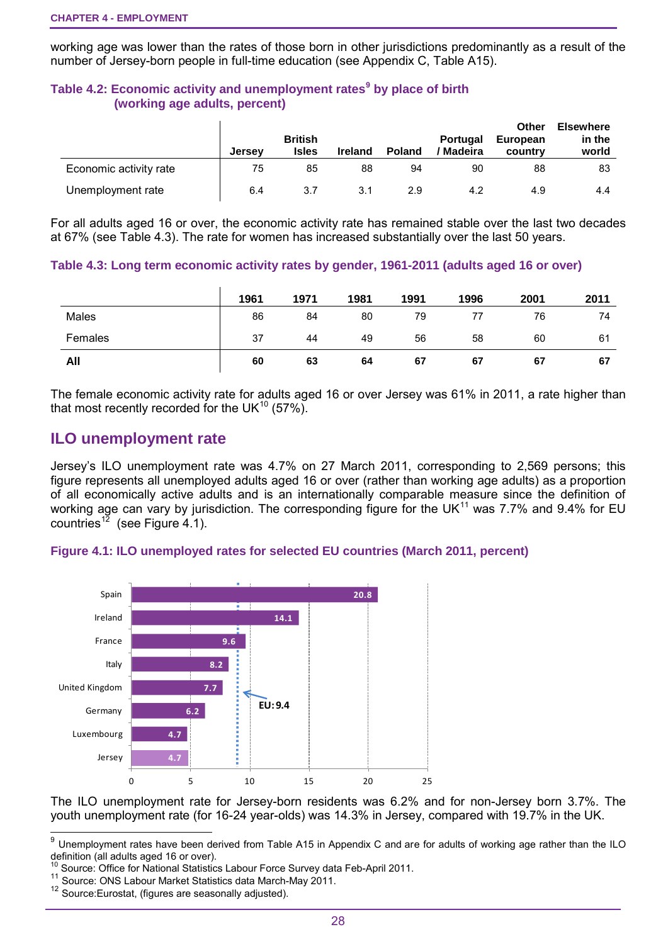working age was lower than the rates of those born in other jurisdictions predominantly as a result of the number of Jersey-born people in full-time education (see Appendix C, Table A15).

#### **Table 4.2: Economic activity and unemployment rates<sup>9</sup> by place of birth (working age adults, percent)**

|                        | <b>Jersey</b> | <b>British</b><br><b>Isles</b> | <b>Ireland</b> | <b>Poland</b> | <b>Portugal</b><br>Madeira | Other<br>European<br>country | <b>Elsewhere</b><br>in the<br>world |
|------------------------|---------------|--------------------------------|----------------|---------------|----------------------------|------------------------------|-------------------------------------|
| Economic activity rate | 75            | 85                             | 88             | 94            | 90                         | 88                           | 83                                  |
| Unemployment rate      | 6.4           | 3.7                            | 3.1            | 2.9           | 4.2                        | 4.9                          | 4.4                                 |

For all adults aged 16 or over, the economic activity rate has remained stable over the last two decades at 67% (see Table 4.3). The rate for women has increased substantially over the last 50 years.

#### **Table 4.3: Long term economic activity rates by gender, 1961-2011 (adults aged 16 or over)**

|         | 1961 | 1971 | 1981 | 1991 | 1996 | 2001 | 2011 |
|---------|------|------|------|------|------|------|------|
| Males   | 86   | 84   | 80   | 79   |      | 76   | 74   |
| Females | 37   | 44   | 49   | 56   | 58   | 60   | 61   |
| All     | 60   | 63   | 64   | 67   | 67   | 67   | 67   |

The female economic activity rate for adults aged 16 or over Jersey was 61% in 2011, a rate higher than that most recently recorded for the UK $^{10}$  $^{10}$  $^{10}$  (57%).

# **ILO unemployment rate**

Jersey's ILO unemployment rate was 4.7% on 27 March 2011, corresponding to 2,569 persons; this figure represents all unemployed adults aged 16 or over (rather than working age adults) as a proportion of all economically active adults and is an internationally comparable measure since the definition of working age can vary by jurisdiction. The corresponding figure for the UK $^{11}$  $^{11}$  $^{11}$  was 7.7% and 9.4% for EU countries<sup>[12](#page-1-2)</sup> (see Figure 4.1).



#### **Figure 4.1: ILO unemployed rates for selected EU countries (March 2011, percent)**

<sup>0</sup> <sup>5</sup> <sup>10</sup> <sup>15</sup> <sup>20</sup> <sup>25</sup> <sup>25</sup> <sup>25</sup> <sup>25</sup> **The ILO unemployment rate for Jersey-born residents was 6.2% and for non-Jersey born 3.7%. The** youth unemployment rate (for 16-24 year-olds) was 14.3% in Jersey, compared with 19.7% in the UK.

 $\overline{a}$ 

<sup>9</sup> Unemployment rates have been derived from Table A15 in Appendix C and are for adults of working age rather than the ILO definition (all adults aged 16 or over).<br><sup>10</sup> Source: Office for National Statistics Labour Force Survey data Feb-April 2011.

<span id="page-1-3"></span><span id="page-1-1"></span><span id="page-1-0"></span><sup>&</sup>lt;sup>11</sup> Source: ONS Labour Market Statistics data March-May 2011.<br><sup>12</sup> Source: Eurostat, (figures are seasonally adjusted).

<span id="page-1-2"></span>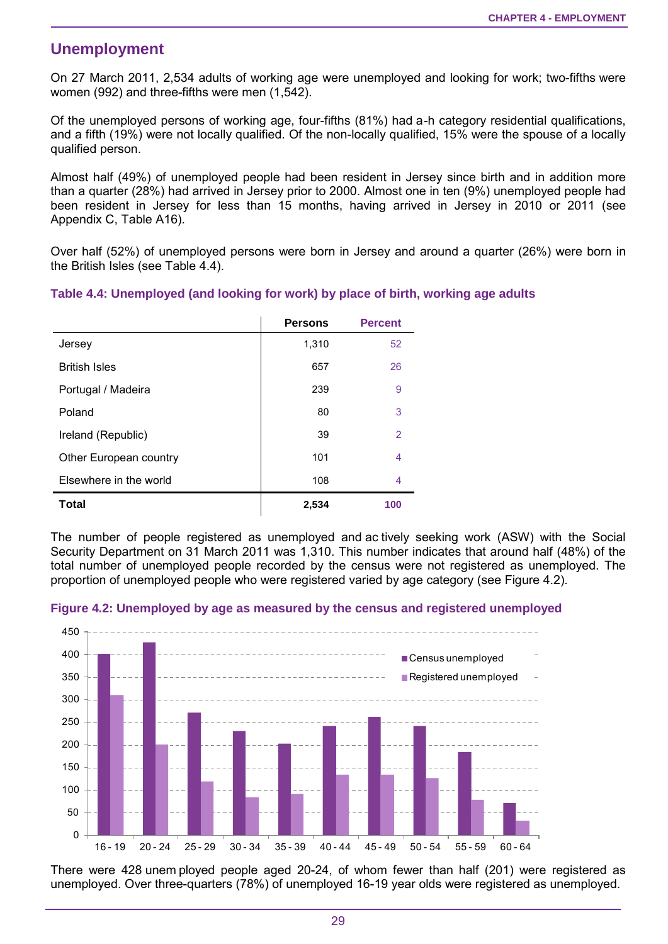## **Unemployment**

On 27 March 2011, 2,534 adults of working age were unemployed and looking for work; two-fifths were women (992) and three-fifths were men (1,542).

Of the unemployed persons of working age, four-fifths (81%) had a-h category residential qualifications, and a fifth (19%) were not locally qualified. Of the non-locally qualified, 15% were the spouse of a locally qualified person.

Almost half (49%) of unemployed people had been resident in Jersey since birth and in addition more than a quarter (28%) had arrived in Jersey prior to 2000. Almost one in ten (9%) unemployed people had been resident in Jersey for less than 15 months, having arrived in Jersey in 2010 or 2011 (see Appendix C, Table A16).

Over half (52%) of unemployed persons were born in Jersey and around a quarter (26%) were born in the British Isles (see Table 4.4).

| Table 4.4: Unemployed (and looking for work) by place of birth, working age adults |  |  |  |  |
|------------------------------------------------------------------------------------|--|--|--|--|
|------------------------------------------------------------------------------------|--|--|--|--|

|                        | <b>Persons</b> | <b>Percent</b> |
|------------------------|----------------|----------------|
| Jersey                 | 1,310          | 52             |
| <b>British Isles</b>   | 657            | 26             |
| Portugal / Madeira     | 239            | 9              |
| Poland                 | 80             | 3              |
| Ireland (Republic)     | 39             | $\overline{2}$ |
| Other European country | 101            | 4              |
| Elsewhere in the world | 108            | 4              |
| Total                  | 2,534          | 100            |

The number of people registered as unemployed and ac tively seeking work (ASW) with the Social Security Department on 31 March 2011 was 1,310. This number indicates that around half (48%) of the total number of unemployed people recorded by the census were not registered as unemployed. The proportion of unemployed people who were registered varied by age category (see Figure 4.2).



#### **Figure 4.2: Unemployed by age as measured by the census and registered unemployed**

There were 428 unem ployed people aged 20-24, of whom fewer than half (201) were registered as unemployed. Over three-quarters (78%) of unemployed 16-19 year olds were registered as unemployed.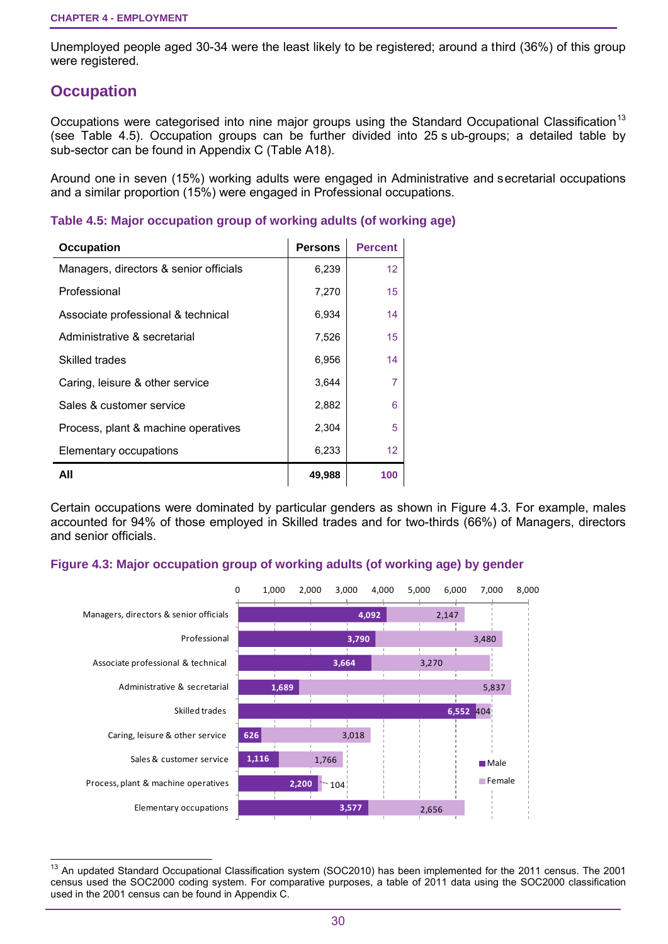Unemployed people aged 30-34 were the least likely to be registered; around a third (36%) of this group were registered.

# **Occupation**

Occupations were categorised into nine major groups using the Standard Occupational Classification<sup>[13](#page-1-3)</sup> (see Table 4.5). Occupation groups can be further divided into 25 s ub-groups; a detailed table by sub-sector can be found in Appendix C (Table A18).

Around one in seven (15%) working adults were engaged in Administrative and secretarial occupations and a similar proportion (15%) were engaged in Professional occupations.

| Occupation                             | <b>Persons</b> | <b>Percent</b>    |
|----------------------------------------|----------------|-------------------|
| Managers, directors & senior officials | 6,239          | 12 <sup>2</sup>   |
| Professional                           | 7,270          | 15                |
| Associate professional & technical     | 6,934          | 14                |
| Administrative & secretarial           | 7,526          | 15                |
| Skilled trades                         | 6,956          | 14                |
| Caring, leisure & other service        | 3,644          | 7                 |
| Sales & customer service               | 2,882          | 6                 |
| Process, plant & machine operatives    | 2,304          | 5                 |
| Elementary occupations                 | 6,233          | $12 \overline{ }$ |
| All                                    | 49,988         | 100               |

#### **Table 4.5: Major occupation group of working adults (of working age)**

Certain occupations were dominated by particular genders as shown in Figure 4.3. For example, males accounted for 94% of those employed in Skilled trades and for two-thirds (66%) of Managers, directors and senior officials.

### **Figure 4.3: Major occupation group of working adults (of working age) by gender**



<span id="page-3-0"></span> $\overline{\phantom{a}}$ <sup>13</sup> An updated Standard Occupational Classification system (SOC2010) has been implemented for the 2011 census. The 2001 census used the SOC2000 coding system. For comparative purposes, a table of 2011 data using the SOC2000 classification used in the 2001 census can be found in Appendix C.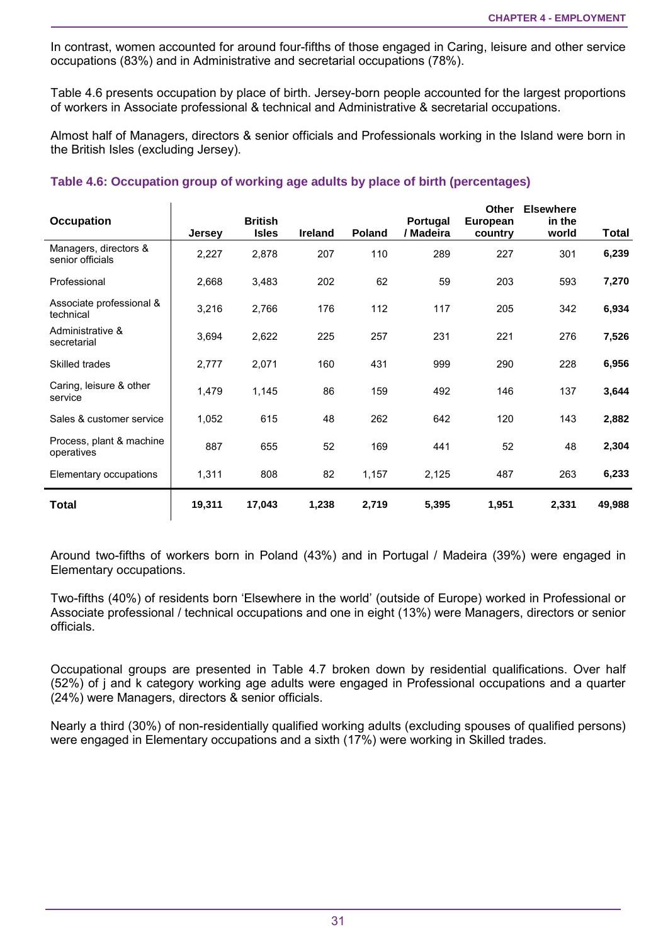In contrast, women accounted for around four-fifths of those engaged in Caring, leisure and other service occupations (83%) and in Administrative and secretarial occupations (78%).

Table 4.6 presents occupation by place of birth. Jersey-born people accounted for the largest proportions of workers in Associate professional & technical and Administrative & secretarial occupations.

Almost half of Managers, directors & senior officials and Professionals working in the Island were born in the British Isles (excluding Jersey).

#### **Table 4.6: Occupation group of working age adults by place of birth (percentages)**

| Occupation                                |        | <b>British</b> |                |               | Portugal  | <b>Other</b><br>European | <b>Elsewhere</b><br>in the |              |
|-------------------------------------------|--------|----------------|----------------|---------------|-----------|--------------------------|----------------------------|--------------|
|                                           | Jersey | <b>Isles</b>   | <b>Ireland</b> | <b>Poland</b> | / Madeira | country                  | world                      | <b>Total</b> |
| Managers, directors &<br>senior officials | 2,227  | 2,878          | 207            | 110           | 289       | 227                      | 301                        | 6,239        |
| Professional                              | 2,668  | 3,483          | 202            | 62            | 59        | 203                      | 593                        | 7,270        |
| Associate professional &<br>technical     | 3,216  | 2,766          | 176            | 112           | 117       | 205                      | 342                        | 6,934        |
| Administrative &<br>secretarial           | 3,694  | 2,622          | 225            | 257           | 231       | 221                      | 276                        | 7,526        |
| Skilled trades                            | 2,777  | 2,071          | 160            | 431           | 999       | 290                      | 228                        | 6,956        |
| Caring, leisure & other<br>service        | 1,479  | 1,145          | 86             | 159           | 492       | 146                      | 137                        | 3,644        |
| Sales & customer service                  | 1,052  | 615            | 48             | 262           | 642       | 120                      | 143                        | 2,882        |
| Process, plant & machine<br>operatives    | 887    | 655            | 52             | 169           | 441       | 52                       | 48                         | 2,304        |
| Elementary occupations                    | 1,311  | 808            | 82             | 1,157         | 2,125     | 487                      | 263                        | 6,233        |
| Total                                     | 19,311 | 17,043         | 1,238          | 2,719         | 5,395     | 1,951                    | 2,331                      | 49,988       |

Around two-fifths of workers born in Poland (43%) and in Portugal / Madeira (39%) were engaged in Elementary occupations.

Two-fifths (40%) of residents born 'Elsewhere in the world' (outside of Europe) worked in Professional or Associate professional / technical occupations and one in eight (13%) were Managers, directors or senior officials.

Occupational groups are presented in Table 4.7 broken down by residential qualifications. Over half (52%) of j and k category working age adults were engaged in Professional occupations and a quarter (24%) were Managers, directors & senior officials.

Nearly a third (30%) of non-residentially qualified working adults (excluding spouses of qualified persons) were engaged in Elementary occupations and a sixth (17%) were working in Skilled trades.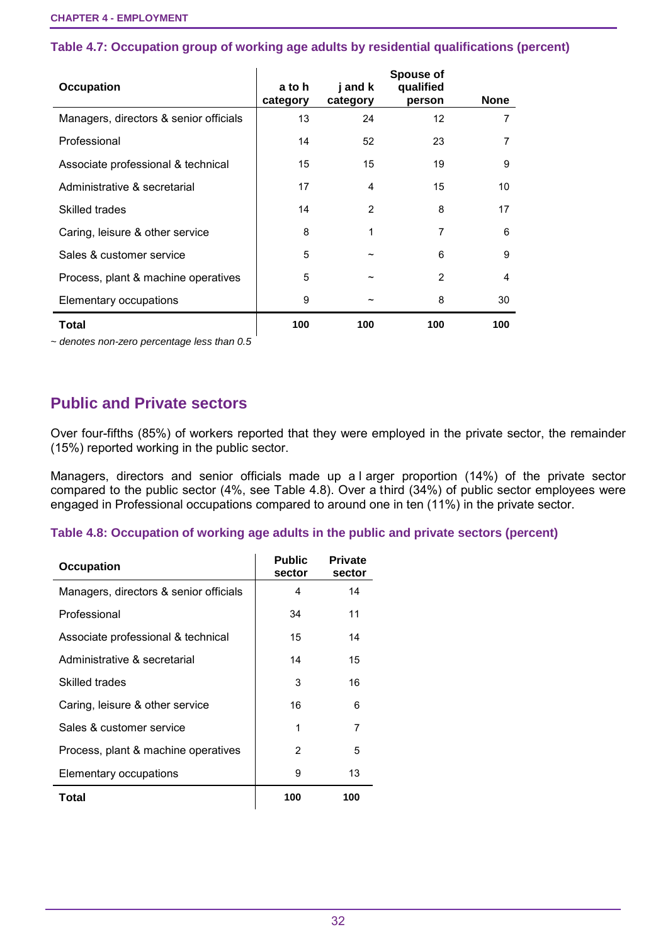#### **Table 4.7: Occupation group of working age adults by residential qualifications (percent)**

| <b>Occupation</b>                      | a to h<br>category | j and k<br>category | Spouse of<br>qualified<br>person | <b>None</b> |
|----------------------------------------|--------------------|---------------------|----------------------------------|-------------|
| Managers, directors & senior officials | 13                 | 24                  | 12                               | 7           |
| Professional                           | 14                 | 52                  | 23                               |             |
| Associate professional & technical     | 15                 | 15                  | 19                               | 9           |
| Administrative & secretarial           | 17                 | 4                   | 15                               | 10          |
| Skilled trades                         | 14                 | 2                   | 8                                | 17          |
| Caring, leisure & other service        | 8                  | 1                   | 7                                | 6           |
| Sales & customer service               | 5                  |                     | 6                                | 9           |
| Process, plant & machine operatives    | 5                  |                     | 2                                | 4           |
| Elementary occupations                 | 9                  |                     | 8                                | 30          |
| Total                                  | 100                | 100                 | 100                              | 100         |

*~ denotes non-zero percentage less than 0.5*

## **Public and Private sectors**

Over four-fifths (85%) of workers reported that they were employed in the private sector, the remainder (15%) reported working in the public sector.

Managers, directors and senior officials made up a l arger proportion (14%) of the private sector compared to the public sector (4%, see Table 4.8). Over a third (34%) of public sector employees were engaged in Professional occupations compared to around one in ten (11%) in the private sector.

#### **Table 4.8: Occupation of working age adults in the public and private sectors (percent)**

| <b>Occupation</b>                      | <b>Public</b><br>sector | <b>Private</b><br>sector |
|----------------------------------------|-------------------------|--------------------------|
| Managers, directors & senior officials | 4                       | 14                       |
| Professional                           | 34                      | 11                       |
| Associate professional & technical     | 15                      | 14                       |
| Administrative & secretarial           | 14                      | 15                       |
| Skilled trades                         | 3                       | 16                       |
| Caring, leisure & other service        | 16                      | 6                        |
| Sales & customer service               | 1                       | 7                        |
| Process, plant & machine operatives    | 2                       | 5                        |
| Elementary occupations                 | 9                       | 13                       |
| Total                                  | 100                     | 100                      |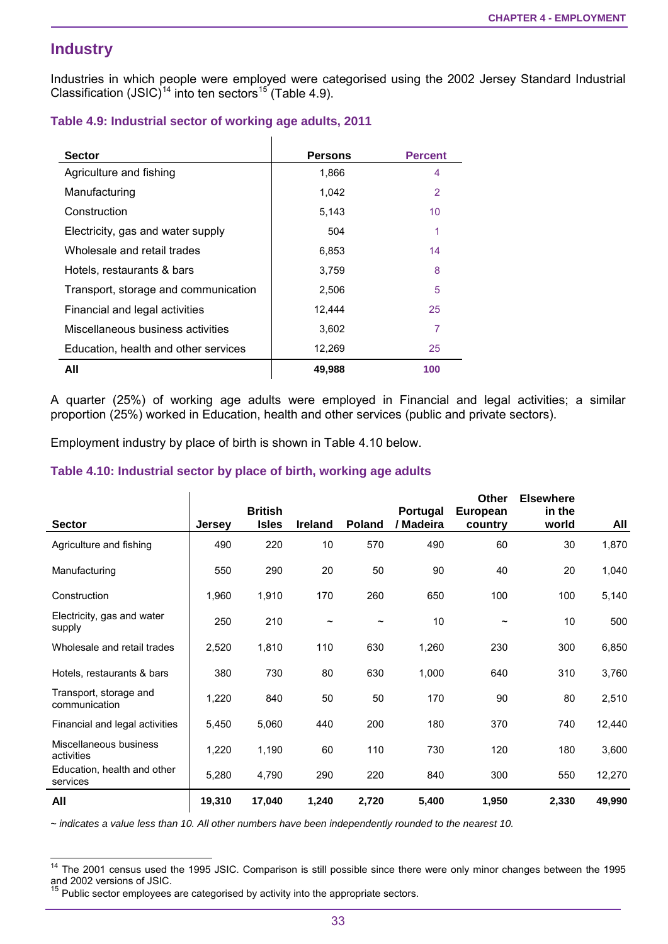## **Industry**

Industries in which people were employed were categorised using the 2002 Jersey Standard Industrial Classification (JSIC)<sup>[14](#page-3-0)</sup> into ten sectors<sup>[15](#page-6-0)</sup> (Table 4.9).

| <b>Sector</b>                        | <b>Persons</b> | <b>Percent</b> |
|--------------------------------------|----------------|----------------|
| Agriculture and fishing              | 1,866          | 4              |
| Manufacturing                        | 1,042          | 2              |
| Construction                         | 5,143          | 10             |
| Electricity, gas and water supply    | 504            | 1              |
| Wholesale and retail trades          | 6,853          | 14             |
| Hotels, restaurants & bars           | 3,759          | 8              |
| Transport, storage and communication | 2,506          | 5              |
| Financial and legal activities       | 12,444         | 25             |
| Miscellaneous business activities    | 3,602          | 7              |
| Education, health and other services | 12,269         | 25             |
| All                                  | 49,988         | 100            |

#### **Table 4.9: Industrial sector of working age adults, 2011**

A quarter (25%) of working age adults were employed in Financial and legal activities; a similar proportion (25%) worked in Education, health and other services (public and private sectors).

Employment industry by place of birth is shown in Table 4.10 below.

#### **Table 4.10: Industrial sector by place of birth, working age adults**

|                                         |               | <b>British</b> |                       |                       | Portugal  | Other<br>European | <b>Elsewhere</b><br>in the |        |
|-----------------------------------------|---------------|----------------|-----------------------|-----------------------|-----------|-------------------|----------------------------|--------|
| <b>Sector</b>                           | <b>Jersey</b> | <b>Isles</b>   | <b>Ireland</b>        | <b>Poland</b>         | / Madeira | country           | world                      | All    |
| Agriculture and fishing                 | 490           | 220            | 10                    | 570                   | 490       | 60                | 30                         | 1,870  |
| Manufacturing                           | 550           | 290            | 20                    | 50                    | 90        | 40                | 20                         | 1,040  |
| Construction                            | 1,960         | 1,910          | 170                   | 260                   | 650       | 100               | 100                        | 5,140  |
| Electricity, gas and water<br>supply    | 250           | 210            | $\tilde{\phantom{a}}$ | $\tilde{\phantom{a}}$ | 10        | $\tilde{}$        | 10                         | 500    |
| Wholesale and retail trades             | 2,520         | 1,810          | 110                   | 630                   | 1,260     | 230               | 300                        | 6,850  |
| Hotels, restaurants & bars              | 380           | 730            | 80                    | 630                   | 1,000     | 640               | 310                        | 3,760  |
| Transport, storage and<br>communication | 1,220         | 840            | 50                    | 50                    | 170       | 90                | 80                         | 2,510  |
| Financial and legal activities          | 5,450         | 5,060          | 440                   | 200                   | 180       | 370               | 740                        | 12,440 |
| Miscellaneous business<br>activities    | 1,220         | 1,190          | 60                    | 110                   | 730       | 120               | 180                        | 3,600  |
| Education, health and other<br>services | 5,280         | 4,790          | 290                   | 220                   | 840       | 300               | 550                        | 12,270 |
| All                                     | 19,310        | 17,040         | 1,240                 | 2,720                 | 5,400     | 1,950             | 2,330                      | 49,990 |

*~ indicates a value less than 10. All other numbers have been independently rounded to the nearest 10.* 

<span id="page-6-1"></span> $\overline{\phantom{a}}$ <sup>14</sup> The 2001 census used the 1995 JSIC. Comparison is still possible since there were only minor changes between the 1995 and 2002 versions of JSIC.<br><sup>15</sup> Public sector employees are categorised by activity into the appropriate sectors.

<span id="page-6-0"></span>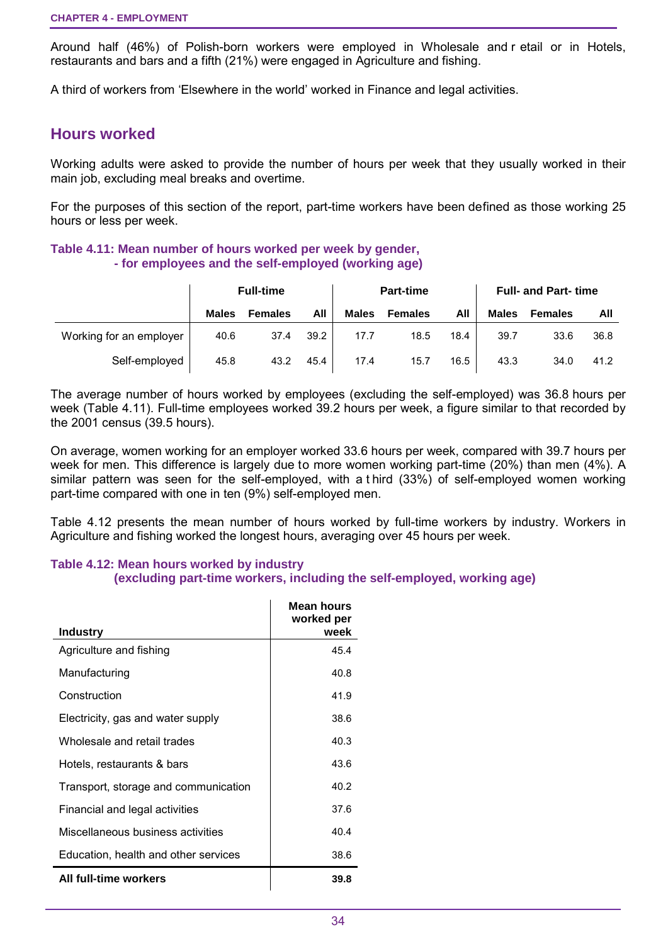Around half (46%) of Polish-born workers were employed in Wholesale and r etail or in Hotels, restaurants and bars and a fifth (21%) were engaged in Agriculture and fishing.

A third of workers from 'Elsewhere in the world' worked in Finance and legal activities.

### **Hours worked**

Working adults were asked to provide the number of hours per week that they usually worked in their main job, excluding meal breaks and overtime.

For the purposes of this section of the report, part-time workers have been defined as those working 25 hours or less per week.

#### **Table 4.11: Mean number of hours worked per week by gender, - for employees and the self-employed (working age)**

|                         | <b>Full-time</b> |                |      |              | <b>Part-time</b> |      | <b>Full- and Part- time</b> |                |      |
|-------------------------|------------------|----------------|------|--------------|------------------|------|-----------------------------|----------------|------|
|                         | <b>Males</b>     | <b>Females</b> | All  | <b>Males</b> | <b>Females</b>   | All  | <b>Males</b>                | <b>Females</b> | All  |
| Working for an employer | 40.6             | 37.4           | 39.2 | 17.7         | 18.5             | 18.4 | 39.7                        | 33.6           | 36.8 |
| Self-employed           | 45.8             | 43.2           | 45.4 | 17.4         | 15.7             | 16.5 | 43.3                        | 34.0           | 41.2 |

The average number of hours worked by employees (excluding the self-employed) was 36.8 hours per week (Table 4.11). Full-time employees worked 39.2 hours per week, a figure similar to that recorded by the 2001 census (39.5 hours).

On average, women working for an employer worked 33.6 hours per week, compared with 39.7 hours per week for men. This difference is largely due to more women working part-time (20%) than men (4%). A similar pattern was seen for the self-employed, with a t hird (33%) of self-employed women working part-time compared with one in ten (9%) self-employed men.

Table 4.12 presents the mean number of hours worked by full-time workers by industry. Workers in Agriculture and fishing worked the longest hours, averaging over 45 hours per week.

### **Table 4.12: Mean hours worked by industry**

**(excluding part-time workers, including the self-employed, working age)** 

|                                      | Mean hours<br>worked per |
|--------------------------------------|--------------------------|
| <b>Industry</b>                      | week                     |
| Agriculture and fishing              | 45.4                     |
| Manufacturing                        | 40.8                     |
| Construction                         | 41.9                     |
| Electricity, gas and water supply    | 38.6                     |
| Wholesale and retail trades          | 40.3                     |
| Hotels, restaurants & bars           | 43.6                     |
| Transport, storage and communication | 40.2                     |
| Financial and legal activities       | 37.6                     |
| Miscellaneous business activities    | 40.4                     |
| Education, health and other services | 38.6                     |
| All full-time workers                | 39.8                     |